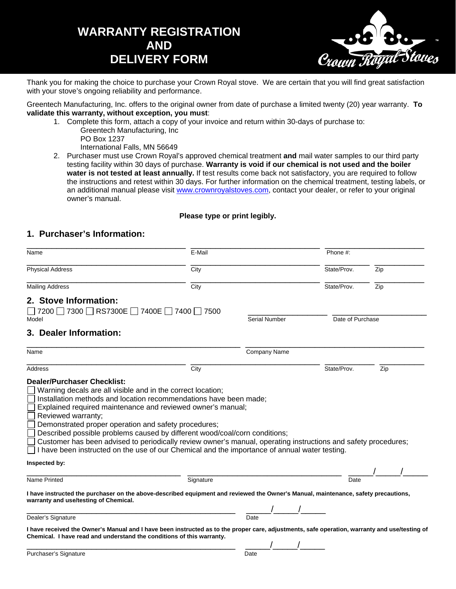## **WARRANTY REGISTRATION AND DELIVERY FORM**



Thank you for making the choice to purchase your Crown Royal stove. We are certain that you will find great satisfaction with your stove's ongoing reliability and performance.

Greentech Manufacturing, Inc. offers to the original owner from date of purchase a limited twenty (20) year warranty. **To validate this warranty, without exception, you must**:

- 1. Complete this form, attach a copy of your invoice and return within 30-days of purchase to:
	- Greentech Manufacturing, Inc PO Box 1237 International Falls, MN 56649
- 2. Purchaser must use Crown Royal's approved chemical treatment **and** mail water samples to our third party testing facility within 30 days of purchase. **Warranty is void if our chemical is not used and the boiler water is not tested at least annually.** If test results come back not satisfactory, you are required to follow the instructions and retest within 30 days. For further information on the chemical treatment, testing labels, or an additional manual please visit www.crownroyalstoves.com, contact your dealer, or refer to your original owner's manual.

## **Please type or print legibly.**

## **1. Purchaser's Information:**

| Name                                                                                                                                                                                                                                                                                                                                                  | E-Mail    |                      | Phone #:         |     |
|-------------------------------------------------------------------------------------------------------------------------------------------------------------------------------------------------------------------------------------------------------------------------------------------------------------------------------------------------------|-----------|----------------------|------------------|-----|
| <b>Physical Address</b>                                                                                                                                                                                                                                                                                                                               | City      |                      | State/Prov.      | Zip |
| <b>Mailing Address</b>                                                                                                                                                                                                                                                                                                                                | City      |                      | State/Prov.      | Zip |
| 2. Stove Information:<br>7200 7300 RS7300E 7400E 7400 7500<br>Model                                                                                                                                                                                                                                                                                   |           | <b>Serial Number</b> | Date of Purchase |     |
| 3. Dealer Information:                                                                                                                                                                                                                                                                                                                                |           |                      |                  |     |
| Name                                                                                                                                                                                                                                                                                                                                                  |           | <b>Company Name</b>  |                  |     |
| Address                                                                                                                                                                                                                                                                                                                                               | City      |                      | State/Prov.      | Zip |
| Demonstrated proper operation and safety procedures;<br>Described possible problems caused by different wood/coal/corn conditions;<br>Customer has been advised to periodically review owner's manual, operating instructions and safety procedures;<br>I have been instructed on the use of our Chemical and the importance of annual water testing. |           |                      |                  |     |
| Inspected by:                                                                                                                                                                                                                                                                                                                                         |           |                      |                  |     |
| Name Printed                                                                                                                                                                                                                                                                                                                                          | Signature |                      | Date             |     |
| I have instructed the purchaser on the above-described equipment and reviewed the Owner's Manual, maintenance, safety precautions,<br>warranty and use/testing of Chemical.                                                                                                                                                                           |           |                      |                  |     |
| Dealer's Signature                                                                                                                                                                                                                                                                                                                                    |           | Date                 |                  |     |
| I have received the Owner's Manual and I have been instructed as to the proper care, adjustments, safe operation, warranty and use/testing of                                                                                                                                                                                                         |           |                      |                  |     |
| Chemical. I have read and understand the conditions of this warranty.                                                                                                                                                                                                                                                                                 |           |                      |                  |     |